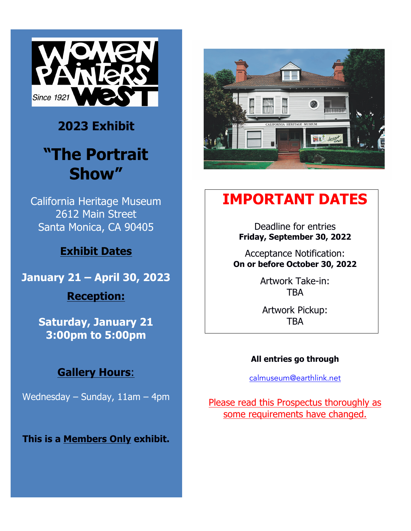

## **2023 Exhibit**

# **"The Portrait Show"**

California Heritage Museum 2612 Main Street Santa Monica, CA 90405

## **Exhibit Dates**

**January 21 – April 30, 2023 Reception:** 

> **Saturday, January 21 3:00pm to 5:00pm**

## **Gallery Hours**:

Wednesday – Sunday, 11am – 4pm

**This is a Members Only exhibit.**



## **IMPORTANT DATES**

Deadline for entries **Friday, September 30, 2022**

Acceptance Notification: **On or before October 30, 2022**

> Artwork Take-in: **TRA**

Artwork Pickup: **TBA** 

#### **All entries go through**

calmuseum@earthlink.net

Please read this Prospectus thoroughly as some requirements have changed.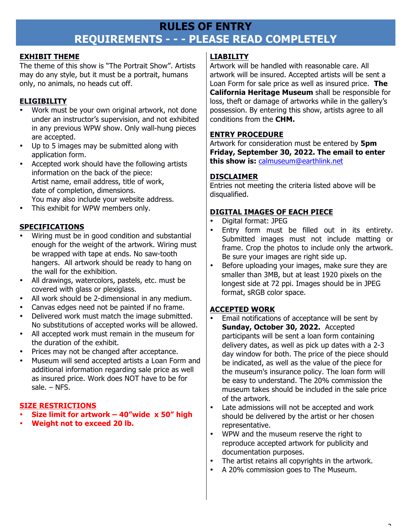### **RULES OF ENTRY REQUIREMENTS - - - PLEASE READ COMPLETELY**

#### **EXHIBIT THEME**

The theme of this show is "The Portrait Show". Artists may do any style, but it must be a portrait, humans only, no animals, no heads cut off.

#### **ELIGIBILITY**

- Work must be your own original artwork, not done under an instructor's supervision, and not exhibited in any previous WPW show. Only wall-hung pieces are accepted.
- Up to 5 images may be submitted along with application form.
- Accepted work should have the following artists information on the back of the piece: Artist name, email address, title of work, date of completion, dimensions. You may also include your website address.
- This exhibit for WPW members only.

#### **SPECIFICATIONS**

- Wiring must be in good condition and substantial enough for the weight of the artwork. Wiring must be wrapped with tape at ends. No saw-tooth hangers. All artwork should be ready to hang on the wall for the exhibition.
- All drawings, watercolors, pastels, etc. must be covered with glass or plexiglass.
- All work should be 2-dimensional in any medium.
- Canvas edges need not be painted if no frame.
- Delivered work must match the image submitted. No substitutions of accepted works will be allowed.
- All accepted work must remain in the museum for the duration of the exhibit.
- Prices may not be changed after acceptance.
- Museum will send accepted artists a Loan Form and additional information regarding sale price as well as insured price. Work does NOT have to be for sale. – NFS.

#### **SIZE RESTRICTIONS**

- **Size limit for artwork – 40"wide x 50" high**
- **Weight not to exceed 20 lb.**

#### **LIABILITY**

Artwork will be handled with reasonable care. All artwork will be insured. Accepted artists will be sent a Loan Form for sale price as well as insured price. **The California Heritage Museum** shall be responsible for loss, theft or damage of artworks while in the gallery's possession. By entering this show, artists agree to all conditions from the **CHM.**

#### **ENTRY PROCEDURE**

Artwork for consideration must be entered by **5pm Friday, September 30, 2022. The email to enter this show is:** calmuseum@earthlink.net

#### **DISCLAIMER**

Entries not meeting the criteria listed above will be disqualified.

#### **DIGITAL IMAGES OF EACH PIECE**

- Digital format: JPEG
- Entry form must be filled out in its entirety. Submitted images must not include matting or frame. Crop the photos to include only the artwork. Be sure your images are right side up.
- Before uploading your images, make sure they are smaller than 3MB, but at least 1920 pixels on the longest side at 72 ppi. Images should be in JPEG format, sRGB color space.

#### **ACCEPTED WORK**

- Email notifications of acceptance will be sent by **Sunday, October 30, 2022.** Accepted participants will be sent a loan form containing delivery dates, as well as pick up dates with a 2-3 day window for both. The price of the piece should be indicated, as well as the value of the piece for the museum's insurance policy. The loan form will be easy to understand. The 20% commission the museum takes should be included in the sale price of the artwork.
- Late admissions will not be accepted and work should be delivered by the artist or her chosen representative.
- WPW and the museum reserve the right to reproduce accepted artwork for publicity and documentation purposes.
- The artist retains all copyrights in the artwork.
- A 20% commission goes to The Museum.